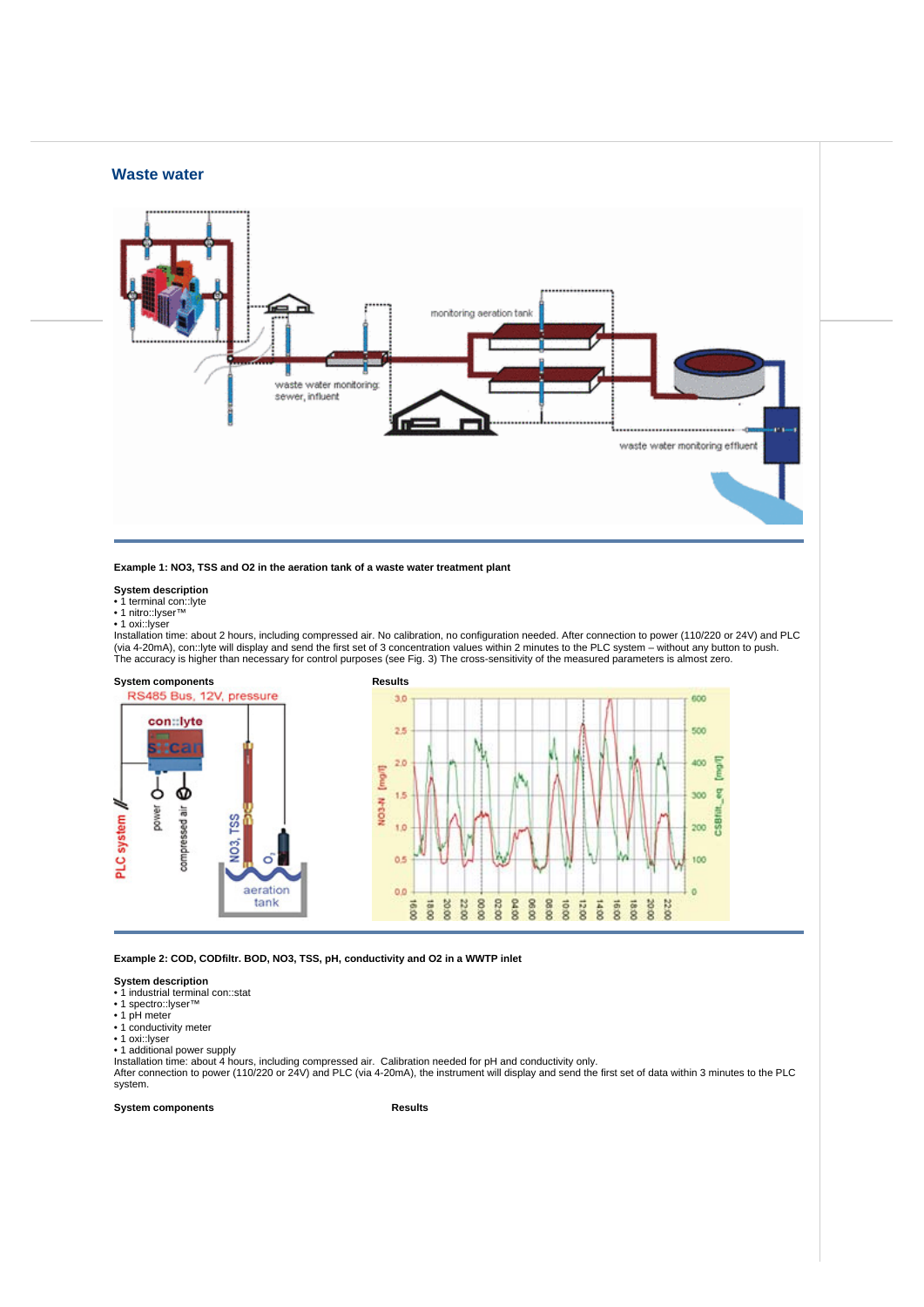## **Waste water**



**Example 1: NO3, TSS and O2 in the aeration tank of a waste water treatment plant** 

## **System description**

• 1 terminal con::lyte • 1 nitro::lyser™

• 1 oxi: lyser

Installation time: about 2 hours, including compressed air. No calibration, no configuration needed. After connection to power (110/220 or 24V) and PLC (via 4-20mA), con::lyte will display and send the first set of 3 concentration values within 2 minutes to the PLC system – without any button to push.<br>The accuracy is higher than necessary for control purposes (see Fig. 3)



**Example 2: COD, CODfiltr. BOD, NO3, TSS, pH, conductivity and O2 in a WWTP inlet** 

**System description**<br>● 1 industrial terminal con::stat<br>● 1 spectro::lyser™

- 
- 1 pH meter
- 1 conductivity meter
- 

• 1 oxi::lyser • 1 additional power supply

Installation time: about 4 hours, including compressed air. Calibration needed for pH and conductivity only.<br>After connection to power (110/220 or 24V) and PLC (via 4-20mA), the instrument will display and send the first s system.

**System components Results**